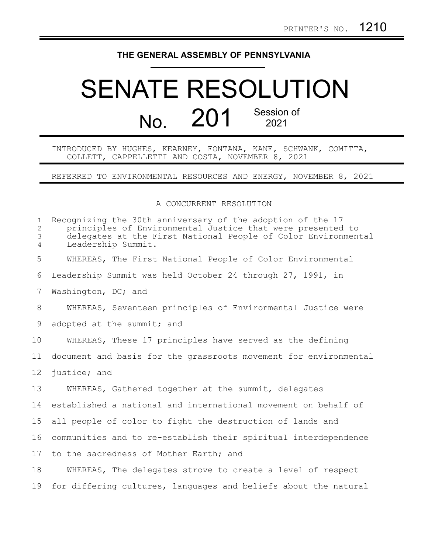## **THE GENERAL ASSEMBLY OF PENNSYLVANIA**

## SENATE RESOLUTION No. 201 Session of 2021

INTRODUCED BY HUGHES, KEARNEY, FONTANA, KANE, SCHWANK, COMITTA, COLLETT, CAPPELLETTI AND COSTA, NOVEMBER 8, 2021

REFERRED TO ENVIRONMENTAL RESOURCES AND ENERGY, NOVEMBER 8, 2021

## A CONCURRENT RESOLUTION

| $\mathbf{1}$<br>$\mathbf{2}^{\prime}$<br>3<br>4 | Recognizing the 30th anniversary of the adoption of the 17<br>principles of Environmental Justice that were presented to<br>delegates at the First National People of Color Environmental<br>Leadership Summit. |
|-------------------------------------------------|-----------------------------------------------------------------------------------------------------------------------------------------------------------------------------------------------------------------|
| 5                                               | WHEREAS, The First National People of Color Environmental                                                                                                                                                       |
| 6                                               | Leadership Summit was held October 24 through 27, 1991, in                                                                                                                                                      |
| 7                                               | Washington, DC; and                                                                                                                                                                                             |
| 8                                               | WHEREAS, Seventeen principles of Environmental Justice were                                                                                                                                                     |
| 9                                               | adopted at the summit; and                                                                                                                                                                                      |
| 10                                              | WHEREAS, These 17 principles have served as the defining                                                                                                                                                        |
| 11                                              | document and basis for the grassroots movement for environmental                                                                                                                                                |
| 12 <sup>°</sup>                                 | justice; and                                                                                                                                                                                                    |
| 13                                              | WHEREAS, Gathered together at the summit, delegates                                                                                                                                                             |
| 14                                              | established a national and international movement on behalf of                                                                                                                                                  |
| 15                                              | all people of color to fight the destruction of lands and                                                                                                                                                       |
| 16                                              | communities and to re-establish their spiritual interdependence                                                                                                                                                 |
| 17                                              | to the sacredness of Mother Earth; and                                                                                                                                                                          |
| 18                                              | WHEREAS, The delegates strove to create a level of respect                                                                                                                                                      |
| 19                                              | for differing cultures, languages and beliefs about the natural                                                                                                                                                 |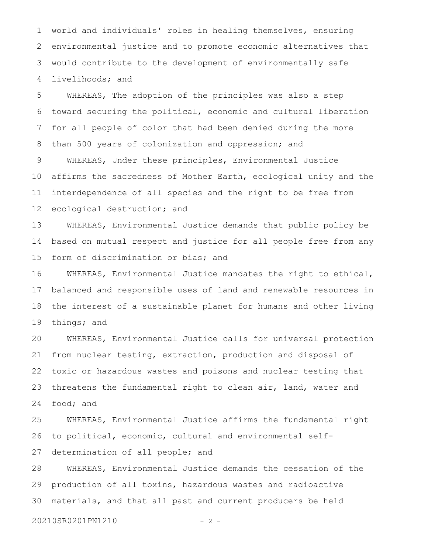world and individuals' roles in healing themselves, ensuring environmental justice and to promote economic alternatives that would contribute to the development of environmentally safe livelihoods; and 1 2 3 4

WHEREAS, The adoption of the principles was also a step toward securing the political, economic and cultural liberation for all people of color that had been denied during the more than 500 years of colonization and oppression; and WHEREAS, Under these principles, Environmental Justice affirms the sacredness of Mother Earth, ecological unity and the interdependence of all species and the right to be free from ecological destruction; and 5 6 7 8 9 10 11 12

WHEREAS, Environmental Justice demands that public policy be based on mutual respect and justice for all people free from any form of discrimination or bias; and 13 14 15

WHEREAS, Environmental Justice mandates the right to ethical, balanced and responsible uses of land and renewable resources in the interest of a sustainable planet for humans and other living things; and 16 17 18 19

WHEREAS, Environmental Justice calls for universal protection from nuclear testing, extraction, production and disposal of toxic or hazardous wastes and poisons and nuclear testing that threatens the fundamental right to clean air, land, water and food; and 20 21 22 23 24

WHEREAS, Environmental Justice affirms the fundamental right to political, economic, cultural and environmental selfdetermination of all people; and 25 26 27

WHEREAS, Environmental Justice demands the cessation of the production of all toxins, hazardous wastes and radioactive materials, and that all past and current producers be held 28 29 30

20210SR0201PN1210 - 2 -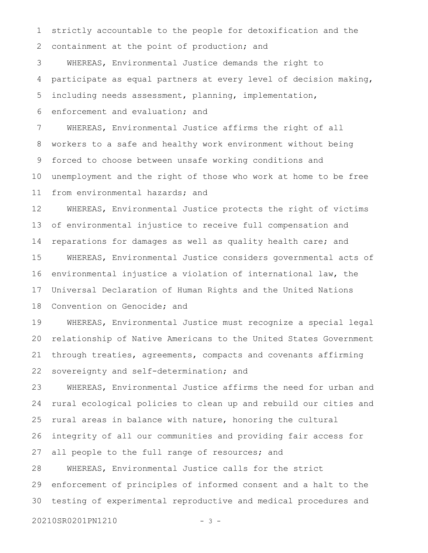strictly accountable to the people for detoxification and the containment at the point of production; and 1 2

WHEREAS, Environmental Justice demands the right to participate as equal partners at every level of decision making, including needs assessment, planning, implementation, 3 4 5

enforcement and evaluation; and 6

WHEREAS, Environmental Justice affirms the right of all workers to a safe and healthy work environment without being forced to choose between unsafe working conditions and unemployment and the right of those who work at home to be free from environmental hazards; and 7 8 9 10 11

WHEREAS, Environmental Justice protects the right of victims of environmental injustice to receive full compensation and reparations for damages as well as quality health care; and WHEREAS, Environmental Justice considers governmental acts of environmental injustice a violation of international law, the Universal Declaration of Human Rights and the United Nations 12 13 14 15 16 17

Convention on Genocide; and 18

WHEREAS, Environmental Justice must recognize a special legal relationship of Native Americans to the United States Government through treaties, agreements, compacts and covenants affirming sovereignty and self-determination; and 19 20 21 22

WHEREAS, Environmental Justice affirms the need for urban and rural ecological policies to clean up and rebuild our cities and rural areas in balance with nature, honoring the cultural integrity of all our communities and providing fair access for all people to the full range of resources; and 23 24 25 26 27

WHEREAS, Environmental Justice calls for the strict enforcement of principles of informed consent and a halt to the testing of experimental reproductive and medical procedures and 28 29 30

20210SR0201PN1210 - 3 -